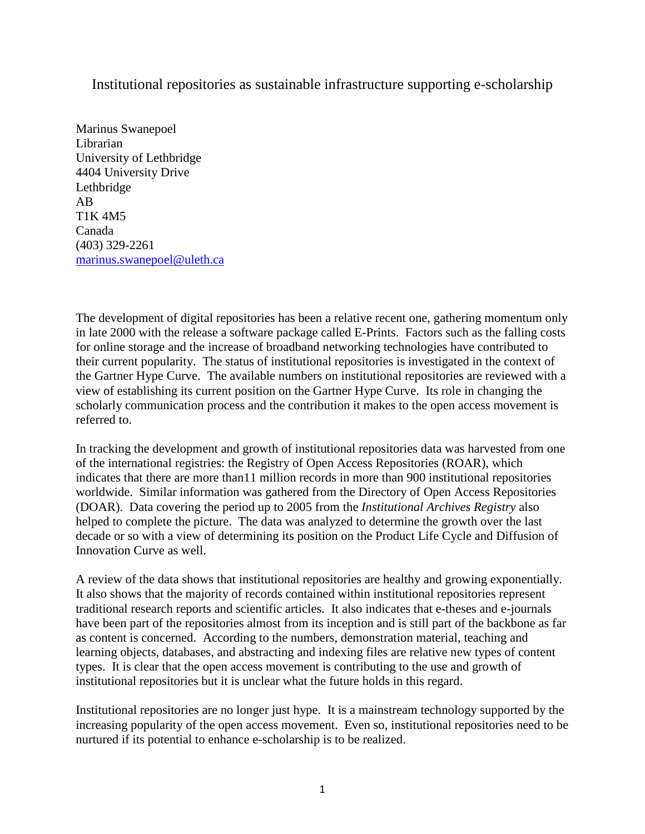Institutional repositories as sustainable infrastructure supporting e-scholarship

Marinus Swanepoel Librarian University of Lethbridge 4404 University Drive Lethbridge AB T1K 4M5 Canada (403) 329-2261 [marinus.swanepoel@uleth.ca](mailto:marinus.swanepoel@uleth.ca)

The development of digital repositories has been a relative recent one, gathering momentum only in late 2000 with the release a software package called E-Prints. Factors such as the falling costs for online storage and the increase of broadband networking technologies have contributed to their current popularity. The status of institutional repositories is investigated in the context of the Gartner Hype Curve. The available numbers on institutional repositories are reviewed with a view of establishing its current position on the Gartner Hype Curve. Its role in changing the scholarly communication process and the contribution it makes to the open access movement is referred to.

In tracking the development and growth of institutional repositories data was harvested from one of the international registries: the Registry of Open Access Repositories (ROAR), which indicates that there are more than11 million records in more than 900 institutional repositories worldwide. Similar information was gathered from the Directory of Open Access Repositories (DOAR). Data covering the period up to 2005 from the *Institutional Archives Registry* also helped to complete the picture. The data was analyzed to determine the growth over the last decade or so with a view of determining its position on the Product Life Cycle and Diffusion of Innovation Curve as well.

A review of the data shows that institutional repositories are healthy and growing exponentially. It also shows that the majority of records contained within institutional repositories represent traditional research reports and scientific articles. It also indicates that e-theses and e-journals have been part of the repositories almost from its inception and is still part of the backbone as far as content is concerned. According to the numbers, demonstration material, teaching and learning objects, databases, and abstracting and indexing files are relative new types of content types. It is clear that the open access movement is contributing to the use and growth of institutional repositories but it is unclear what the future holds in this regard.

Institutional repositories are no longer just hype. It is a mainstream technology supported by the increasing popularity of the open access movement. Even so, institutional repositories need to be nurtured if its potential to enhance e-scholarship is to be realized.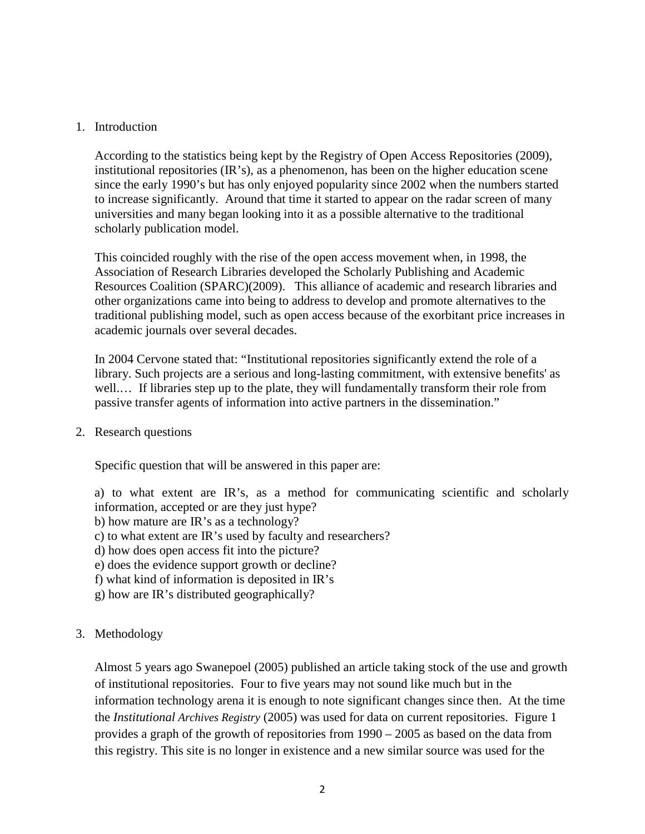## 1. Introduction

According to the statistics being kept by the Registry of Open Access Repositories (2009), institutional repositories (IR's), as a phenomenon, has been on the higher education scene since the early 1990's but has only enjoyed popularity since 2002 when the numbers started to increase significantly. Around that time it started to appear on the radar screen of many universities and many began looking into it as a possible alternative to the traditional scholarly publication model.

This coincided roughly with the rise of the open access movement when, in 1998, the Association of Research Libraries developed the Scholarly Publishing and Academic Resources Coalition (SPARC)(2009). This alliance of academic and research libraries and other organizations came into being to address to develop and promote alternatives to the traditional publishing model, such as open access because of the exorbitant price increases in academic journals over several decades.

In 2004 Cervone stated that: "Institutional repositories significantly extend the role of a library. Such projects are a serious and long-lasting commitment, with extensive benefits' as well.... If libraries step up to the plate, they will fundamentally transform their role from passive transfer agents of information into active partners in the dissemination."

## 2. Research questions

Specific question that will be answered in this paper are:

a) to what extent are IR's, as a method for communicating scientific and scholarly information, accepted or are they just hype?

- b) how mature are IR's as a technology?
- c) to what extent are IR's used by faculty and researchers?
- d) how does open access fit into the picture?
- e) does the evidence support growth or decline?
- f) what kind of information is deposited in IR's
- g) how are IR's distributed geographically?
- 3. Methodology

Almost 5 years ago Swanepoel (2005) published an article taking stock of the use and growth of institutional repositories. Four to five years may not sound like much but in the information technology arena it is enough to note significant changes since then. At the time the *Institutional Archives Registry* (2005) was used for data on current repositories. Figure 1 provides a graph of the growth of repositories from 1990 – 2005 as based on the data from this registry. This site is no longer in existence and a new similar source was used for the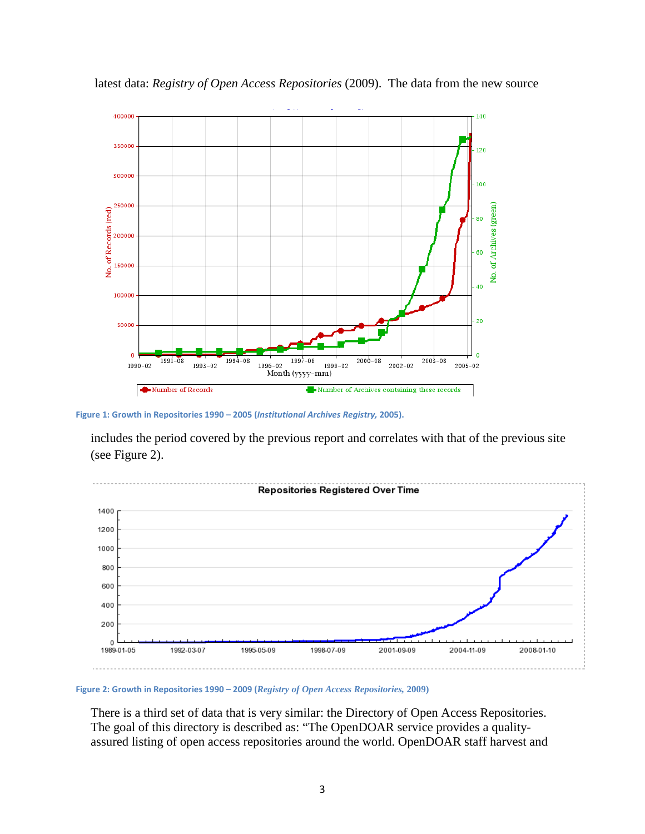

latest data: *Registry of Open Access Repositories* (2009). The data from the new source

**Figure 1: Growth in Repositories 1990 – 2005 (***Institutional Archives Registry,* **2005).**

includes the period covered by the previous report and correlates with that of the previous site (see Figure 2).



**Figure 2: Growth in Repositories 1990 – 2009 (***Registry of Open Access Repositories,* **2009)**

There is a third set of data that is very similar: the Directory of Open Access Repositories. The goal of this directory is described as: "The OpenDOAR service provides a qualityassured listing of open access repositories around the world. OpenDOAR staff harvest and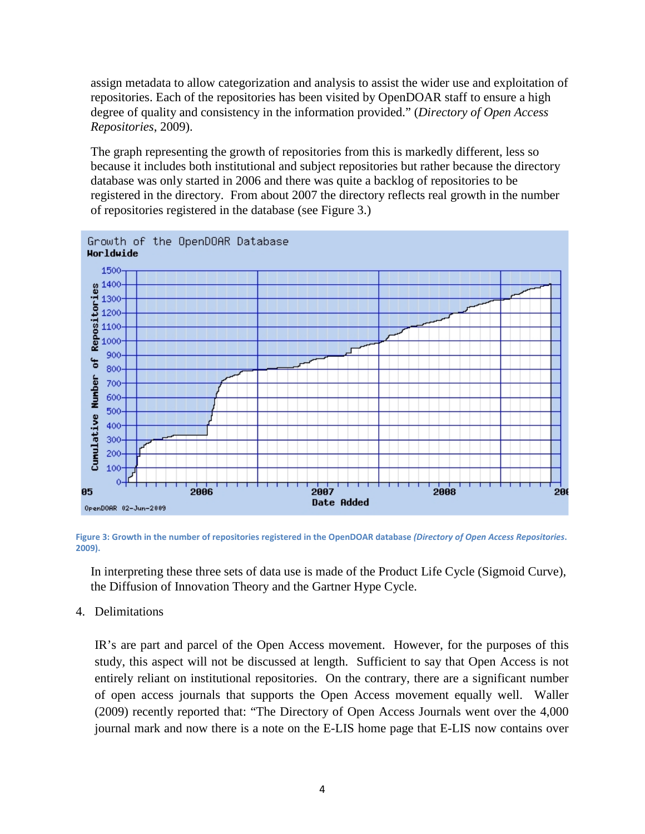assign metadata to allow categorization and analysis to assist the wider use and exploitation of repositories. Each of the repositories has been visited by OpenDOAR staff to ensure a high degree of quality and consistency in the information provided." (*Directory of Open Access Repositories*, 2009).

The graph representing the growth of repositories from this is markedly different, less so because it includes both institutional and subject repositories but rather because the directory database was only started in 2006 and there was quite a backlog of repositories to be registered in the directory. From about 2007 the directory reflects real growth in the number of repositories registered in the database (see Figure 3.)



**Figure 3: Growth in the number of repositories registered in the OpenDOAR database** *(Directory of Open Access Repositories***. 2009).**

In interpreting these three sets of data use is made of the Product Life Cycle (Sigmoid Curve), the Diffusion of Innovation Theory and the Gartner Hype Cycle.

4. Delimitations

IR's are part and parcel of the Open Access movement. However, for the purposes of this study, this aspect will not be discussed at length. Sufficient to say that Open Access is not entirely reliant on institutional repositories. On the contrary, there are a significant number of open access journals that supports the Open Access movement equally well. Waller (2009) recently reported that: "The Directory of Open Access Journals went over the 4,000 journal mark and now there is a note on the E-LIS home page that E-LIS now contains over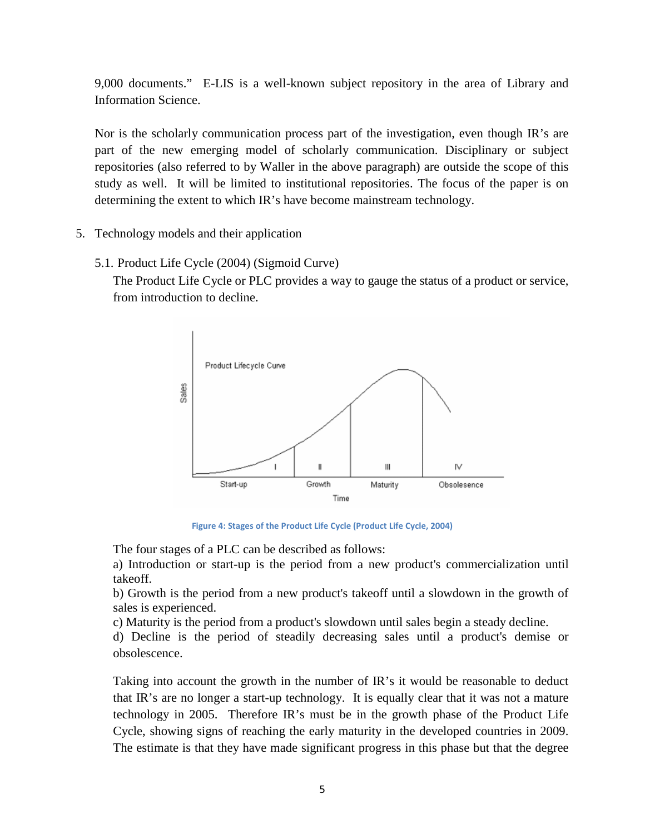9,000 documents." E-LIS is a well-known subject repository in the area of Library and Information Science.

Nor is the scholarly communication process part of the investigation, even though IR's are part of the new emerging model of scholarly communication. Disciplinary or subject repositories (also referred to by Waller in the above paragraph) are outside the scope of this study as well. It will be limited to institutional repositories. The focus of the paper is on determining the extent to which IR's have become mainstream technology.

- 5. Technology models and their application
	- 5.1. Product Life Cycle (2004) (Sigmoid Curve)

The Product Life Cycle or PLC provides a way to gauge the status of a product or service, from introduction to decline.



**Figure 4: Stages of the Product Life Cycle (Product Life Cycle, 2004)**

The four stages of a PLC can be described as follows:

a) Introduction or start-up is the period from a new product's commercialization until takeoff.

b) Growth is the period from a new product's takeoff until a slowdown in the growth of sales is experienced.

c) Maturity is the period from a product's slowdown until sales begin a steady decline.

d) Decline is the period of steadily decreasing sales until a product's demise or obsolescence.

Taking into account the growth in the number of IR's it would be reasonable to deduct that IR's are no longer a start-up technology. It is equally clear that it was not a mature technology in 2005. Therefore IR's must be in the growth phase of the Product Life Cycle, showing signs of reaching the early maturity in the developed countries in 2009. The estimate is that they have made significant progress in this phase but that the degree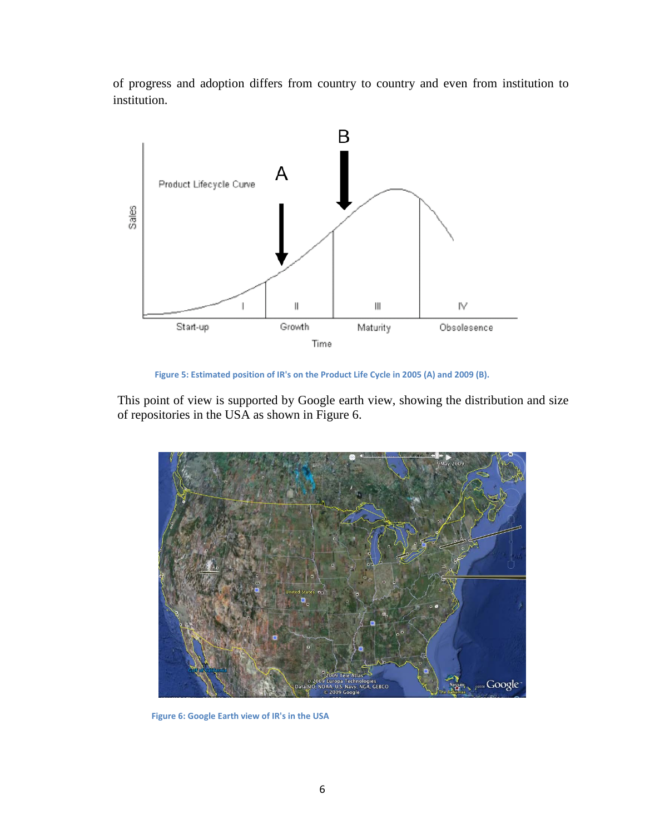of progress and adoption differs from country to country and even from institution to institution.



**Figure 5: Estimated position of IR's on the Product Life Cycle in 2005 (A) and 2009 (B).**

This point of view is supported by Google earth view, showing the distribution and size of repositories in the USA as shown in Figure 6.



**Figure 6: Google Earth view of IR's in the USA**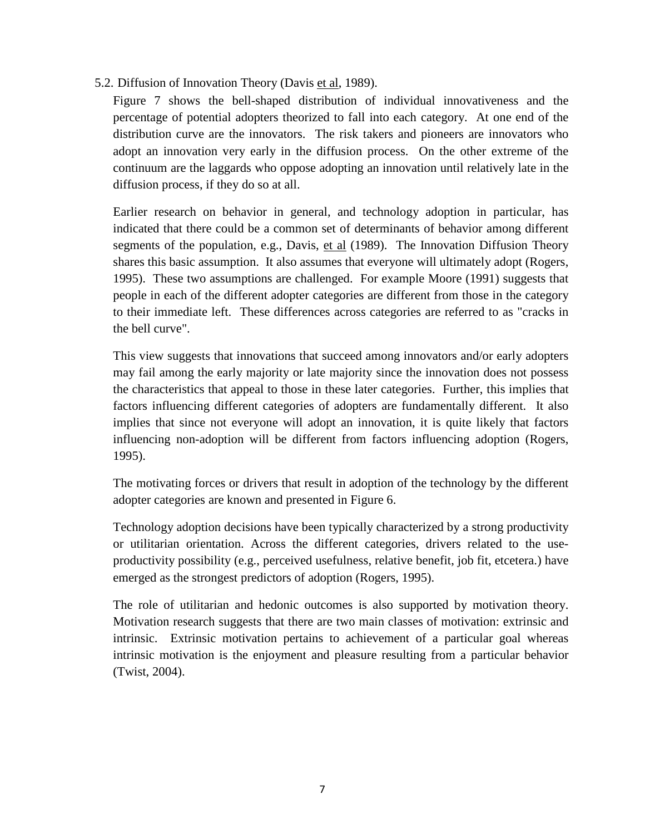5.2. Diffusion of Innovation Theory (Davis et al, 1989).

Figure 7 shows the bell-shaped distribution of individual innovativeness and the percentage of potential adopters theorized to fall into each category. At one end of the distribution curve are the innovators. The risk takers and pioneers are innovators who adopt an innovation very early in the diffusion process. On the other extreme of the continuum are the laggards who oppose adopting an innovation until relatively late in the diffusion process, if they do so at all.

Earlier research on behavior in general, and technology adoption in particular, has indicated that there could be a common set of determinants of behavior among different segments of the population, e.g., Davis, et al (1989). The Innovation Diffusion Theory shares this basic assumption. It also assumes that everyone will ultimately adopt (Rogers, 1995). These two assumptions are challenged. For example Moore (1991) suggests that people in each of the different adopter categories are different from those in the category to their immediate left. These differences across categories are referred to as "cracks in the bell curve".

This view suggests that innovations that succeed among innovators and/or early adopters may fail among the early majority or late majority since the innovation does not possess the characteristics that appeal to those in these later categories. Further, this implies that factors influencing different categories of adopters are fundamentally different. It also implies that since not everyone will adopt an innovation, it is quite likely that factors influencing non-adoption will be different from factors influencing adoption (Rogers, 1995).

The motivating forces or drivers that result in adoption of the technology by the different adopter categories are known and presented in Figure 6.

Technology adoption decisions have been typically characterized by a strong productivity or utilitarian orientation. Across the different categories, drivers related to the useproductivity possibility (e.g., perceived usefulness, relative benefit, job fit, etcetera.) have emerged as the strongest predictors of adoption (Rogers, 1995).

The role of utilitarian and hedonic outcomes is also supported by motivation theory. Motivation research suggests that there are two main classes of motivation: extrinsic and intrinsic. Extrinsic motivation pertains to achievement of a particular goal whereas intrinsic motivation is the enjoyment and pleasure resulting from a particular behavior (Twist, 2004).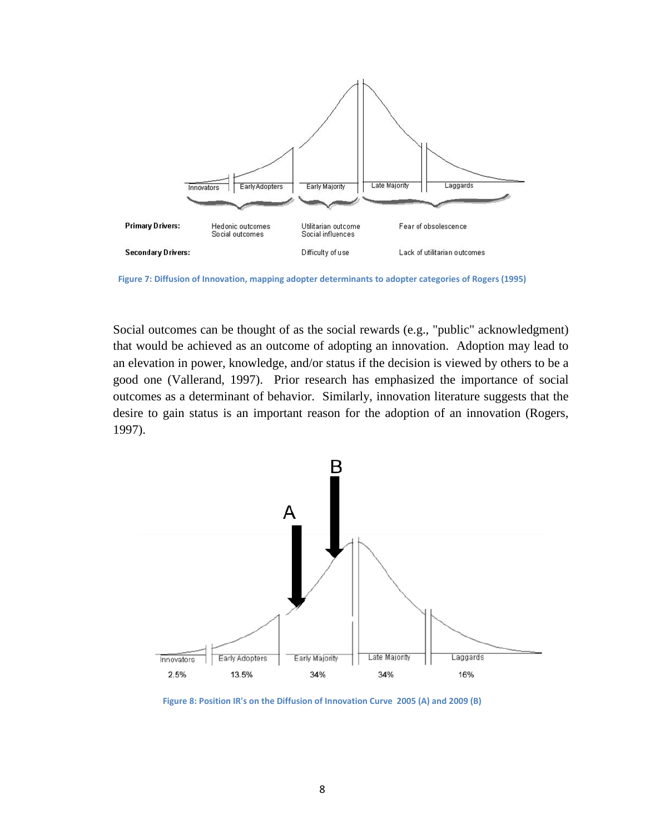

**Figure 7: Diffusion of Innovation, mapping adopter determinants to adopter categories of Rogers (1995)**

Social outcomes can be thought of as the social rewards (e.g., "public" acknowledgment) that would be achieved as an outcome of adopting an innovation. Adoption may lead to an elevation in power, knowledge, and/or status if the decision is viewed by others to be a good one (Vallerand, 1997). Prior research has emphasized the importance of social outcomes as a determinant of behavior. Similarly, innovation literature suggests that the desire to gain status is an important reason for the adoption of an innovation (Rogers, 1997).



**Figure 8: Position IR's on the Diffusion of Innovation Curve 2005 (A) and 2009 (B)**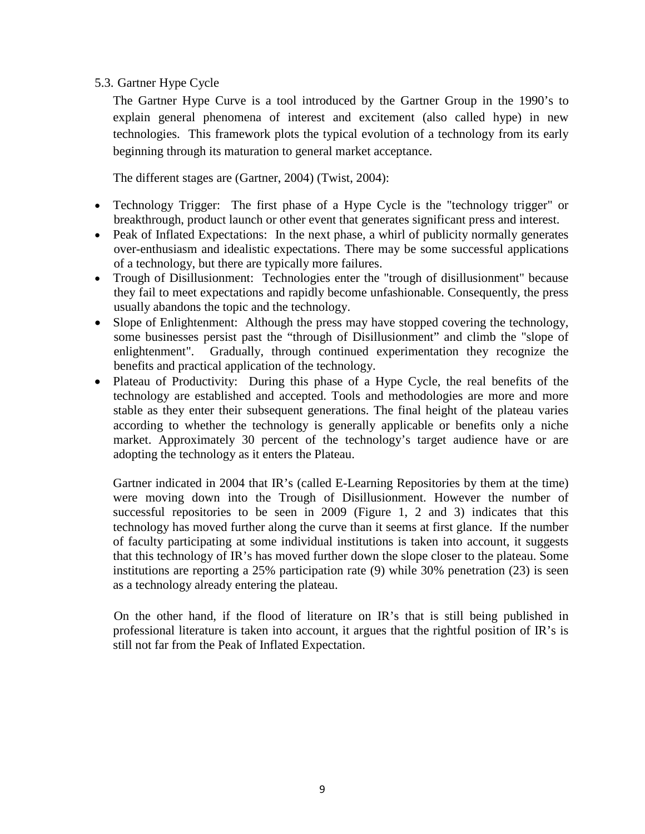# 5.3. Gartner Hype Cycle

The Gartner Hype Curve is a tool introduced by the Gartner Group in the 1990's to explain general phenomena of interest and excitement (also called hype) in new technologies. This framework plots the typical evolution of a technology from its early beginning through its maturation to general market acceptance.

The different stages are (Gartner, 2004) (Twist, 2004):

- Technology Trigger: The first phase of a Hype Cycle is the "technology trigger" or breakthrough, product launch or other event that generates significant press and interest.
- Peak of Inflated Expectations: In the next phase, a whirl of publicity normally generates over-enthusiasm and idealistic expectations. There may be some successful applications of a technology, but there are typically more failures.
- Trough of Disillusionment: Technologies enter the "trough of disillusionment" because they fail to meet expectations and rapidly become unfashionable. Consequently, the press usually abandons the topic and the technology.
- Slope of Enlightenment: Although the press may have stopped covering the technology, some businesses persist past the "through of Disillusionment" and climb the "slope of enlightenment". Gradually, through continued experimentation they recognize the benefits and practical application of the technology.
- Plateau of Productivity: During this phase of a Hype Cycle, the real benefits of the technology are established and accepted. Tools and methodologies are more and more stable as they enter their subsequent generations. The final height of the plateau varies according to whether the technology is generally applicable or benefits only a niche market. Approximately 30 percent of the technology's target audience have or are adopting the technology as it enters the Plateau.

Gartner indicated in 2004 that IR's (called E-Learning Repositories by them at the time) were moving down into the Trough of Disillusionment. However the number of successful repositories to be seen in 2009 (Figure 1, 2 and 3) indicates that this technology has moved further along the curve than it seems at first glance. If the number of faculty participating at some individual institutions is taken into account, it suggests that this technology of IR's has moved further down the slope closer to the plateau. Some institutions are reporting a 25% participation rate (9) while 30% penetration (23) is seen as a technology already entering the plateau.

On the other hand, if the flood of literature on IR's that is still being published in professional literature is taken into account, it argues that the rightful position of IR's is still not far from the Peak of Inflated Expectation.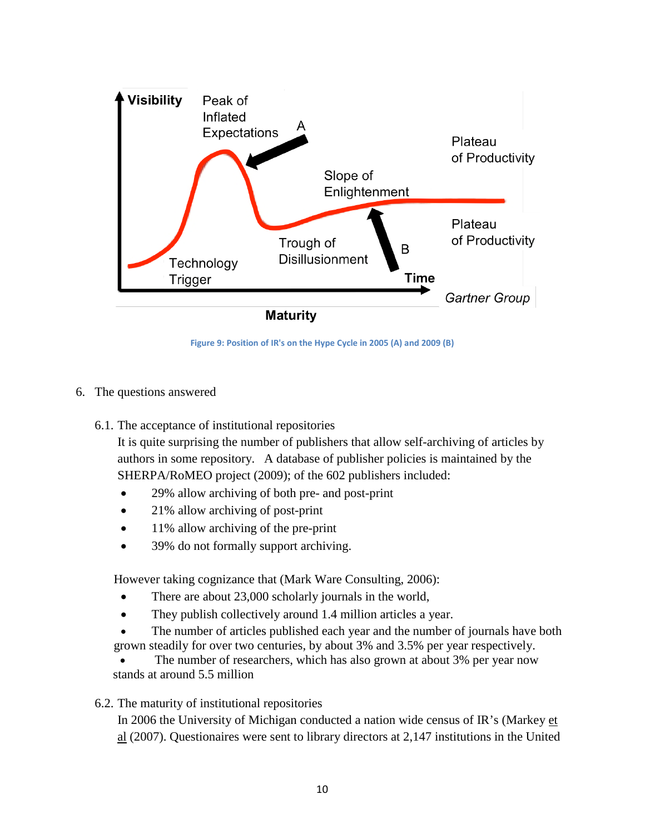

**Figure 9: Position of IR's on the Hype Cycle in 2005 (A) and 2009 (B)**

- 6. The questions answered
	- 6.1. The acceptance of institutional repositories

It is quite surprising the number of publishers that allow self-archiving of articles by authors in some repository. A database of publisher policies is maintained by the SHERPA/RoMEO project (2009); of the 602 publishers included:

- 29% allow archiving of both pre- and post-print
- 21% allow archiving of post-print
- 11% allow archiving of the pre-print
- 39% do not formally support archiving.

However taking cognizance that (Mark Ware Consulting, 2006):

- There are about 23,000 scholarly journals in the world,
- They publish collectively around 1.4 million articles a year.
- The number of articles published each year and the number of journals have both grown steadily for over two centuries, by about 3% and 3.5% per year respectively.
- The number of researchers, which has also grown at about 3% per year now stands at around 5.5 million
- 6.2. The maturity of institutional repositories

In 2006 the University of Michigan conducted a nation wide census of IR's (Markey et al (2007). Questionaires were sent to library directors at 2,147 institutions in the United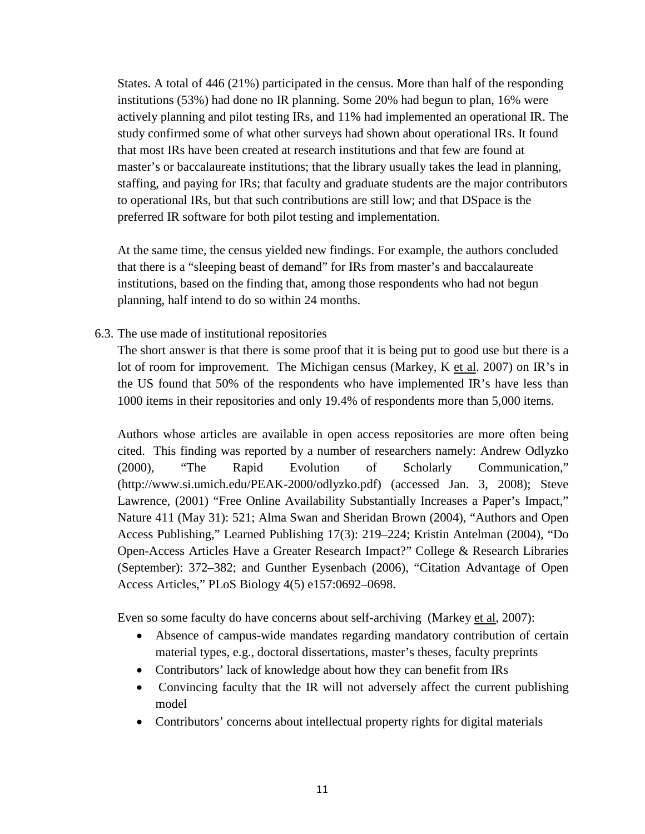States. A total of 446 (21%) participated in the census. More than half of the responding institutions (53%) had done no IR planning. Some 20% had begun to plan, 16% were actively planning and pilot testing IRs, and 11% had implemented an operational IR. The study confirmed some of what other surveys had shown about operational IRs. It found that most IRs have been created at research institutions and that few are found at master's or baccalaureate institutions; that the library usually takes the lead in planning, staffing, and paying for IRs; that faculty and graduate students are the major contributors to operational IRs, but that such contributions are still low; and that DSpace is the preferred IR software for both pilot testing and implementation.

At the same time, the census yielded new findings. For example, the authors concluded that there is a "sleeping beast of demand" for IRs from master's and baccalaureate institutions, based on the finding that, among those respondents who had not begun planning, half intend to do so within 24 months.

6.3. The use made of institutional repositories

The short answer is that there is some proof that it is being put to good use but there is a lot of room for improvement. The Michigan census (Markey, K et al. 2007) on IR's in the US found that 50% of the respondents who have implemented IR's have less than 1000 items in their repositories and only 19.4% of respondents more than 5,000 items.

Authors whose articles are available in open access repositories are more often being cited. This finding was reported by a number of researchers namely: Andrew Odlyzko (2000), "The Rapid Evolution of Scholarly Communication," (http://www.si.umich.edu/PEAK-2000/odlyzko.pdf) (accessed Jan. 3, 2008); Steve Lawrence, (2001) "Free Online Availability Substantially Increases a Paper's Impact," Nature 411 (May 31): 521; Alma Swan and Sheridan Brown (2004), "Authors and Open Access Publishing," Learned Publishing 17(3): 219–224; Kristin Antelman (2004), "Do Open-Access Articles Have a Greater Research Impact?" College & Research Libraries (September): 372–382; and Gunther Eysenbach (2006), "Citation Advantage of Open Access Articles," PLoS Biology 4(5) e157:0692–0698.

Even so some faculty do have concerns about self-archiving (Markey et al, 2007):

- Absence of campus-wide mandates regarding mandatory contribution of certain material types, e.g., doctoral dissertations, master's theses, faculty preprints
- Contributors' lack of knowledge about how they can benefit from IRs
- Convincing faculty that the IR will not adversely affect the current publishing model
- Contributors' concerns about intellectual property rights for digital materials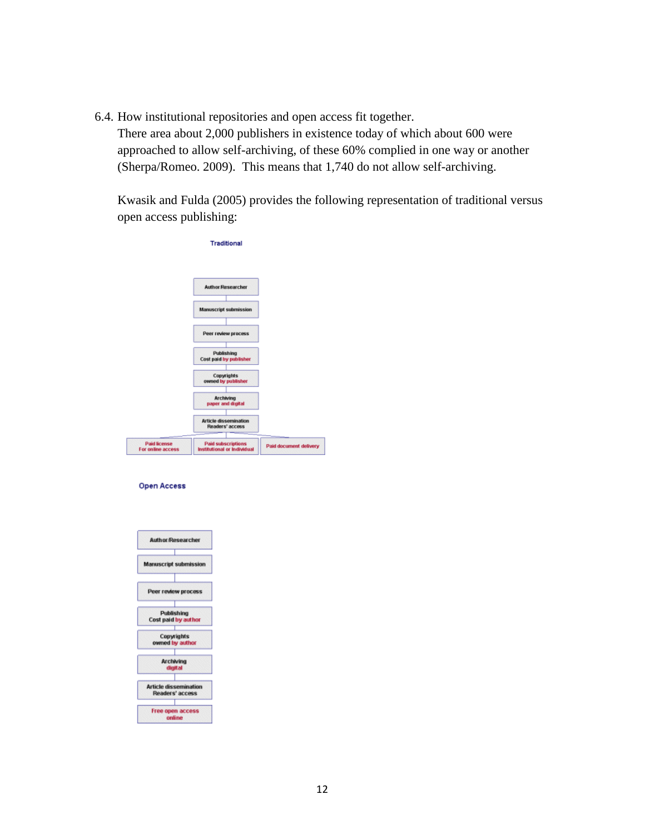6.4. How institutional repositories and open access fit together.

There area about 2,000 publishers in existence today of which about 600 were approached to allow self-archiving, of these 60% complied in one way or another (Sherpa/Romeo. 2009). This means that 1,740 do not allow self-archiving.

Kwasik and Fulda (2005) provides the following representation of traditional versus open access publishing:

|                                          | Traditional                                              |                        |
|------------------------------------------|----------------------------------------------------------|------------------------|
|                                          | <b>Author:Researcher</b>                                 |                        |
|                                          | <b>Manuscript submission</b>                             |                        |
|                                          | Peer review process                                      |                        |
|                                          | Publishing<br>Cost paid by publisher                     |                        |
|                                          | Copyrights<br>owned by publisher                         |                        |
|                                          | <b>Archiving</b><br>paper and digital                    |                        |
|                                          | <b>Article dissemination</b><br>Readers' access          |                        |
| <b>Paid license</b><br>For online access | <b>Paid subscriptions</b><br>Institutional or Individual | Paid document delivery |

#### **Open Access**

| <b>Author Researcher</b>                        |
|-------------------------------------------------|
| <b>Manuscript submission</b>                    |
| Peer review process                             |
| Publishing<br>Cost paid by author               |
| Copyrights<br>owned by author                   |
| Archiving<br>digital                            |
| <b>Article dissemination</b><br>Readers' access |
| Free open access<br>online                      |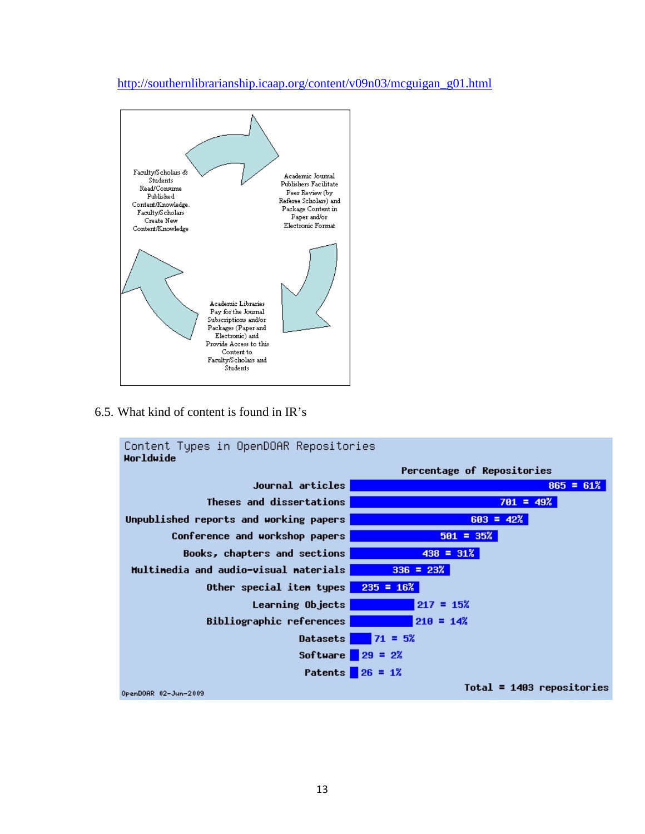### [http://southernlibrarianship.icaap.org/content/v09n03/mcguigan\\_g01.html](http://southernlibrarianship.icaap.org/content/v09n03/mcguigan_g01.html)



6.5. What kind of content is found in IR's

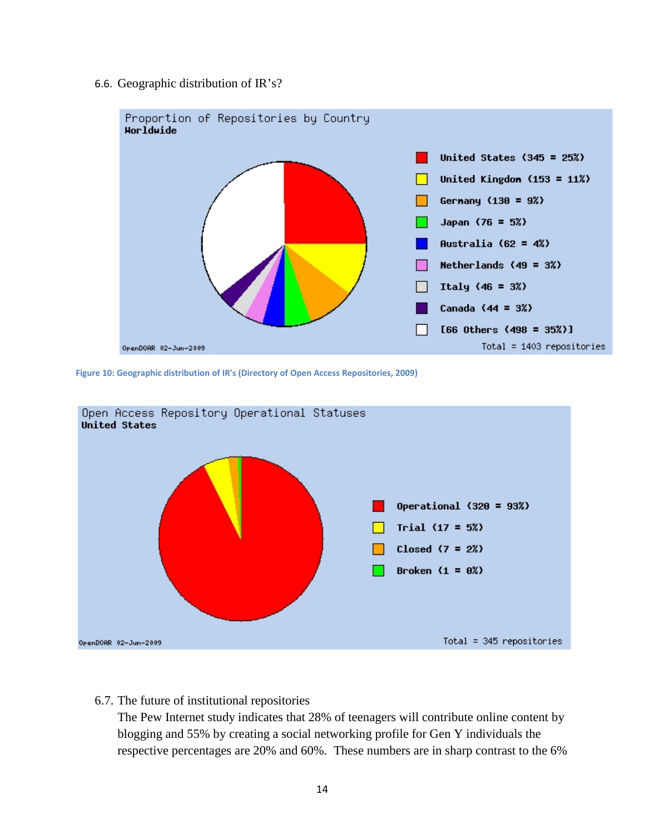#### 6.6. Geographic distribution of IR's?



**Figure 10: Geographic distribution of IR's (Directory of Open Access Repositories, 2009)**



#### 6.7. The future of institutional repositories

The Pew Internet study indicates that 28% of teenagers will contribute online content by blogging and 55% by creating a social networking profile for Gen Y individuals the respective percentages are 20% and 60%. These numbers are in sharp contrast to the 6%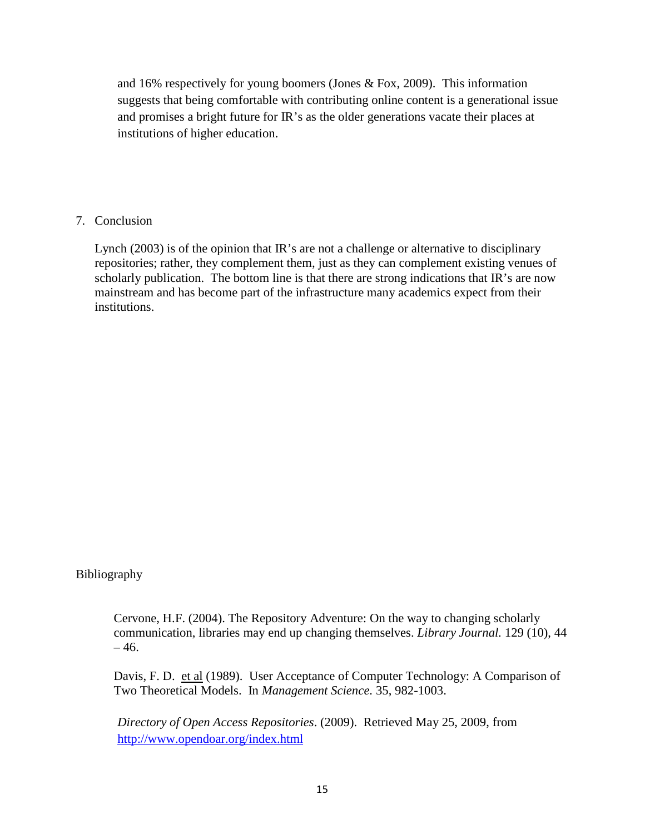and 16% respectively for young boomers (Jones & Fox, 2009). This information suggests that being comfortable with contributing online content is a generational issue and promises a bright future for IR's as the older generations vacate their places at institutions of higher education.

# 7. Conclusion

Lynch (2003) is of the opinion that IR's are not a challenge or alternative to disciplinary repositories; rather, they complement them, just as they can complement existing venues of scholarly publication. The bottom line is that there are strong indications that IR's are now mainstream and has become part of the infrastructure many academics expect from their institutions.

Bibliography

Cervone, H.F. (2004). The Repository Adventure: On the way to changing scholarly communication, libraries may end up changing themselves. *Library Journal.* 129 (10), 44  $-46.$ 

Davis, F. D. et al (1989). User Acceptance of Computer Technology: A Comparison of Two Theoretical Models. In *Management Science.* 35, 982-1003.

*Directory of Open Access Repositories*. (2009). Retrieved May 25, 2009, from <http://www.opendoar.org/index.html>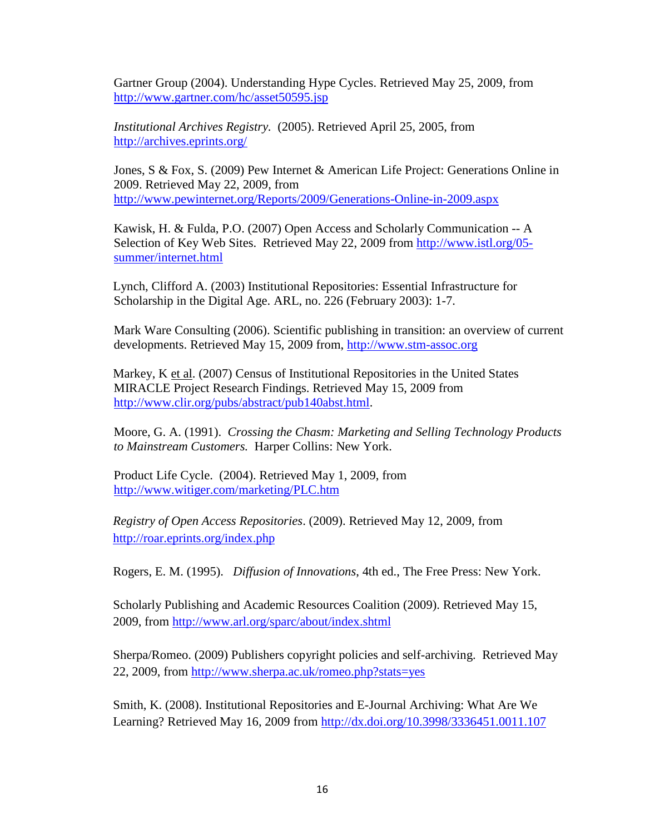Gartner Group (2004). Understanding Hype Cycles. Retrieved May 25, 2009, from <http://www.gartner.com/hc/asset50595.jsp>

*Institutional Archives Registry.* (2005). Retrieved April 25, 2005, from <http://archives.eprints.org/>

Jones, S & Fox, S. (2009) Pew Internet & American Life Project: Generations Online in 2009. Retrieved May 22, 2009, from <http://www.pewinternet.org/Reports/2009/Generations-Online-in-2009.aspx>

Kawisk, H. & Fulda, P.O. (2007) Open Access and Scholarly Communication -- A Selection of Key Web Sites. Retrieved May 22, 2009 from [http://www.istl.org/05](http://www.istl.org/05-summer/internet.html) [summer/internet.html](http://www.istl.org/05-summer/internet.html)

Lynch, Clifford A. (2003) Institutional Repositories: Essential Infrastructure for Scholarship in the Digital Age. ARL, no. 226 (February 2003): 1-7.

Mark Ware Consulting (2006). Scientific publishing in transition: an overview of current developments. Retrieved May 15, 2009 from, [http://www.stm-assoc.org](http://www.stm-assoc.org/)

Markey, K et al. (2007) Census of Institutional Repositories in the United States MIRACLE Project Research Findings. Retrieved May 15, 2009 from [http://www.clir.org/pubs/abstract/pub140abst.html.](http://www.clir.org/pubs/abstract/pub140abst.html)

Moore, G. A. (1991). *Crossing the Chasm: Marketing and Selling Technology Products to Mainstream Customers.* Harper Collins: New York.

Product Life Cycle. (2004). Retrieved May 1, 2009, from <http://www.witiger.com/marketing/PLC.htm>

*Registry of Open Access Repositories*. (2009). Retrieved May 12, 2009, from <http://roar.eprints.org/index.php>

Rogers, E. M. (1995). *Diffusion of Innovations*, 4th ed., The Free Press: New York.

Scholarly Publishing and Academic Resources Coalition (2009). Retrieved May 15, 2009, from<http://www.arl.org/sparc/about/index.shtml>

Sherpa/Romeo. (2009) Publishers copyright policies and self-archiving. Retrieved May 22, 2009, from<http://www.sherpa.ac.uk/romeo.php?stats=yes>

Smith, K. (2008). Institutional Repositories and E-Journal Archiving: What Are We Learning? Retrieved May 16, 2009 from<http://dx.doi.org/10.3998/3336451.0011.107>